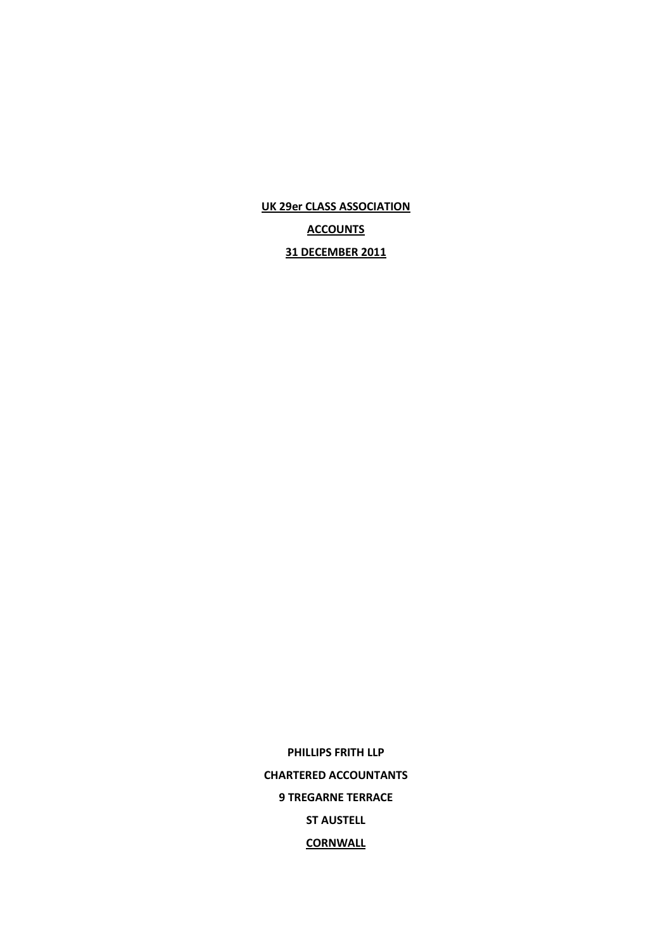**UK 29er CLASS ASSOCIATION**

**ACCOUNTS**

**31 DECEMBER 2011**

**PHILLIPS FRITH LLP CHARTERED ACCOUNTANTS 9 TREGARNE TERRACE ST AUSTELL CORNWALL**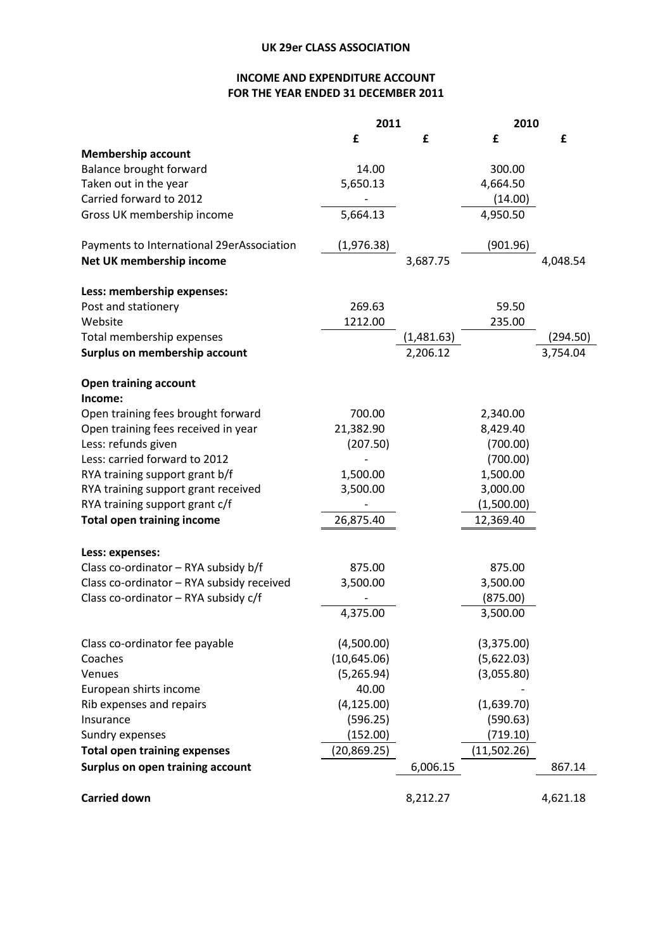# **INCOME AND EXPENDITURE ACCOUNT FOR THE YEAR ENDED 31 DECEMBER 2011**

|                                           | 2011         |            | 2010        |          |
|-------------------------------------------|--------------|------------|-------------|----------|
|                                           | £            | £          | £           | £        |
| <b>Membership account</b>                 |              |            |             |          |
| Balance brought forward                   | 14.00        |            | 300.00      |          |
| Taken out in the year                     | 5,650.13     |            | 4,664.50    |          |
| Carried forward to 2012                   |              |            | (14.00)     |          |
| Gross UK membership income                | 5,664.13     |            | 4,950.50    |          |
| Payments to International 29erAssociation | (1,976.38)   |            | (901.96)    |          |
| Net UK membership income                  |              | 3,687.75   |             | 4,048.54 |
| Less: membership expenses:                |              |            |             |          |
| Post and stationery                       | 269.63       |            | 59.50       |          |
| Website                                   | 1212.00      |            | 235.00      |          |
| Total membership expenses                 |              | (1,481.63) |             | (294.50) |
| Surplus on membership account             |              | 2,206.12   |             | 3,754.04 |
| <b>Open training account</b>              |              |            |             |          |
| Income:                                   |              |            |             |          |
| Open training fees brought forward        | 700.00       |            | 2,340.00    |          |
| Open training fees received in year       | 21,382.90    |            | 8,429.40    |          |
| Less: refunds given                       | (207.50)     |            | (700.00)    |          |
| Less: carried forward to 2012             |              |            | (700.00)    |          |
| RYA training support grant b/f            | 1,500.00     |            | 1,500.00    |          |
| RYA training support grant received       | 3,500.00     |            | 3,000.00    |          |
| RYA training support grant c/f            |              |            | (1,500.00)  |          |
| <b>Total open training income</b>         | 26,875.40    |            | 12,369.40   |          |
| Less: expenses:                           |              |            |             |          |
| Class co-ordinator - RYA subsidy b/f      | 875.00       |            | 875.00      |          |
| Class co-ordinator - RYA subsidy received | 3,500.00     |            | 3,500.00    |          |
| Class co-ordinator - RYA subsidy c/f      |              |            | (875.00)    |          |
|                                           | 4,375.00     |            | 3,500.00    |          |
| Class co-ordinator fee payable            | (4,500.00)   |            | (3,375.00)  |          |
| Coaches                                   | (10,645.06)  |            | (5,622.03)  |          |
| Venues                                    | (5,265.94)   |            | (3,055.80)  |          |
| European shirts income                    | 40.00        |            |             |          |
| Rib expenses and repairs                  | (4, 125.00)  |            | (1,639.70)  |          |
| Insurance                                 | (596.25)     |            | (590.63)    |          |
| Sundry expenses                           | (152.00)     |            | (719.10)    |          |
| <b>Total open training expenses</b>       | (20, 869.25) |            | (11,502.26) |          |
| Surplus on open training account          |              | 6,006.15   |             | 867.14   |
| <b>Carried down</b>                       |              | 8,212.27   |             | 4,621.18 |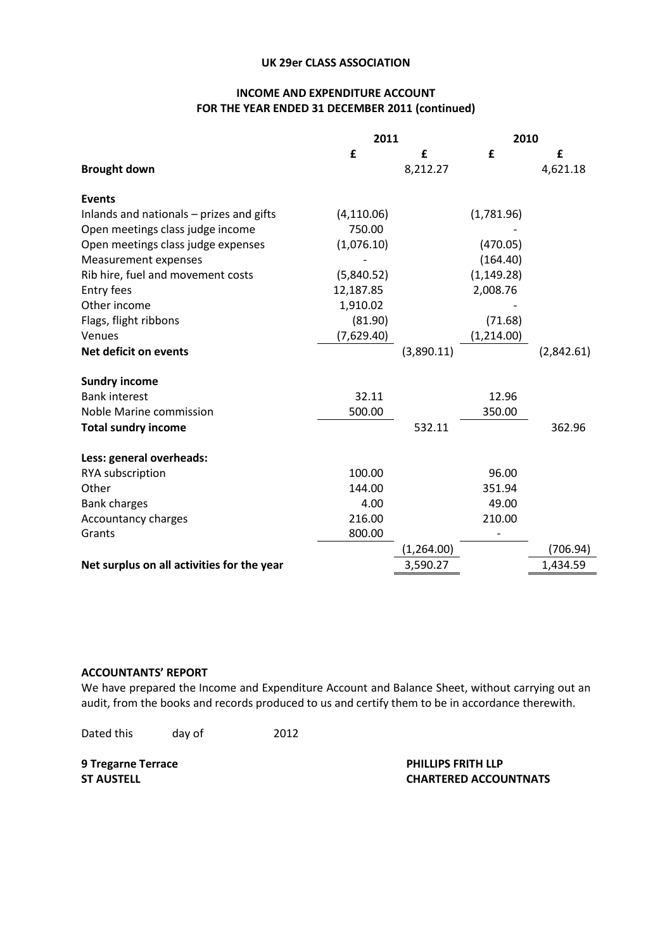### **UK 29er CLASS ASSOCIATION**

# **INCOME AND EXPENDITURE ACCOUNT FOR THE YEAR ENDED 31 DECEMBER 2011 (continued)**

|                                            | 2011        |             | 2010        |            |
|--------------------------------------------|-------------|-------------|-------------|------------|
|                                            | £           | £           | £           | £          |
| <b>Brought down</b>                        |             | 8,212.27    |             | 4,621.18   |
| <b>Events</b>                              |             |             |             |            |
| Inlands and nationals - prizes and gifts   | (4, 110.06) |             | (1,781.96)  |            |
| Open meetings class judge income           | 750.00      |             |             |            |
| Open meetings class judge expenses         | (1,076.10)  |             | (470.05)    |            |
| <b>Measurement expenses</b>                |             |             | (164.40)    |            |
| Rib hire, fuel and movement costs          | (5,840.52)  |             | (1, 149.28) |            |
| Entry fees                                 | 12,187.85   |             | 2,008.76    |            |
| Other income                               | 1,910.02    |             |             |            |
| Flags, flight ribbons                      | (81.90)     |             | (71.68)     |            |
| Venues                                     | (7,629.40)  |             | (1, 214.00) |            |
| Net deficit on events                      |             | (3,890.11)  |             | (2,842.61) |
| <b>Sundry income</b>                       |             |             |             |            |
| <b>Bank interest</b>                       | 32.11       |             | 12.96       |            |
| Noble Marine commission                    | 500.00      |             | 350.00      |            |
| <b>Total sundry income</b>                 |             | 532.11      |             | 362.96     |
| Less: general overheads:                   |             |             |             |            |
| RYA subscription                           | 100.00      |             | 96.00       |            |
| Other                                      | 144.00      |             | 351.94      |            |
| <b>Bank charges</b>                        | 4.00        |             | 49.00       |            |
| Accountancy charges                        | 216.00      |             | 210.00      |            |
| Grants                                     | 800.00      |             |             |            |
|                                            |             | (1, 264.00) |             | (706.94)   |
| Net surplus on all activities for the year |             | 3,590.27    |             | 1,434.59   |
|                                            |             |             |             |            |

### **ACCOUNTANTS' REPORT**

We have prepared the Income and Expenditure Account and Balance Sheet, without carrying out an audit, from the books and records produced to us and certify them to be in accordance therewith.

Dated this day of 2012

**9 Tregarne Terrace PHILLIPS FRITH LLP ST AUSTELL CHARTERED ACCOUNTNATS**